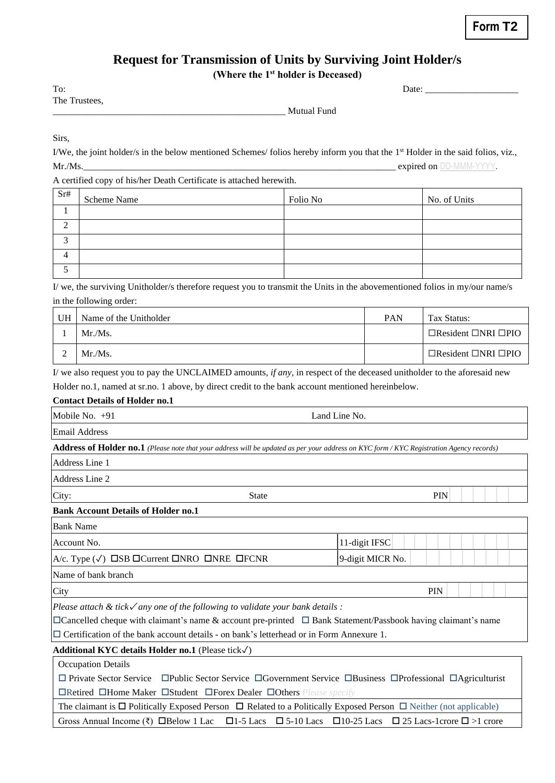# **Request for Transmission of Units by Surviving Joint Holder/s**

**(Where the 1st holder is Deceased)**

To: 2010 2010 2010 2010 2010 2011 2012 2013 2014 2014 2015 2016 2017 2018 2019 2014 2016 2017 2018 2019 2017 20 The Trustees,

\_\_\_\_\_\_\_\_\_\_\_\_\_\_\_\_\_\_\_\_\_\_\_\_\_\_\_\_\_\_\_\_\_\_\_\_\_\_\_\_\_\_\_\_\_\_\_\_\_\_ Mutual Fund

Sirs,

I/We, the joint holder/s in the below mentioned Schemes/ folios hereby inform you that the 1<sup>st</sup> Holder in the said folios, viz., Mr./Ms. expired on DD-MMM-YYYY.

A certified copy of his/her Death Certificate is attached herewith.

| Sr#         | <b>Scheme Name</b> | Folio No | No. of Units |
|-------------|--------------------|----------|--------------|
|             |                    |          |              |
| ◠<br>∠      |                    |          |              |
| $\sim$<br>J |                    |          |              |
|             |                    |          |              |
|             |                    |          |              |

I/ we, the surviving Unitholder/s therefore request you to transmit the Units in the abovementioned folios in my/our name/s in the following order:

| UH | Name of the Unitholder | <b>PAN</b> | Tax Status:                           |
|----|------------------------|------------|---------------------------------------|
|    | Mr.Ms.                 |            | $\Box$ Resident $\Box$ NRI $\Box$ PIO |
|    | Mr.Ms.                 |            | $\Box$ Resident $\Box$ NRI $\Box$ PIO |

I/ we also request you to pay the UNCLAIMED amounts*, if any*, in respect of the deceased unitholder to the aforesaid new Holder no.1, named at sr.no. 1 above, by direct credit to the bank account mentioned hereinbelow.

## **Contact Details of Holder no.1**

| Mobile No. $+91$                                                                 | Land Line No.                                                                                                                                 |                  |            |
|----------------------------------------------------------------------------------|-----------------------------------------------------------------------------------------------------------------------------------------------|------------------|------------|
| <b>Email Address</b>                                                             |                                                                                                                                               |                  |            |
|                                                                                  | Address of Holder no.1 (Please note that your address will be updated as per your address on KYC form / KYC Registration Agency records)      |                  |            |
| Address Line 1                                                                   |                                                                                                                                               |                  |            |
| Address Line 2                                                                   |                                                                                                                                               |                  |            |
| City:                                                                            | <b>State</b>                                                                                                                                  |                  | <b>PIN</b> |
| <b>Bank Account Details of Holder no.1</b>                                       |                                                                                                                                               |                  |            |
| <b>Bank Name</b>                                                                 |                                                                                                                                               |                  |            |
| Account No.                                                                      |                                                                                                                                               | 11-digit IFSC    |            |
| A/c. Type $(\sqrt{})$ $\Box$ SB $\Box$ Current $\Box$ NRO $\Box$ NRE $\Box$ FCNR |                                                                                                                                               | 9-digit MICR No. |            |
| Name of bank branch                                                              |                                                                                                                                               |                  |            |
| City                                                                             |                                                                                                                                               |                  | <b>PIN</b> |
|                                                                                  | Please attach $\&$ tick $\checkmark$ any one of the following to validate your bank details :                                                 |                  |            |
|                                                                                  | $\Box$ Cancelled cheque with claimant's name & account pre-printed $\Box$ Bank Statement/Passbook having claimant's name                      |                  |            |
|                                                                                  | $\Box$ Certification of the bank account details - on bank's letterhead or in Form Annexure 1.                                                |                  |            |
| Additional KYC details Holder no.1 (Please tick√)                                |                                                                                                                                               |                  |            |
| <b>Occupation Details</b>                                                        |                                                                                                                                               |                  |            |
|                                                                                  | $\Box$ Private Sector Service $\Box$ Public Sector Service $\Box$ Government Service $\Box$ Business $\Box$ Professional $\Box$ Agriculturist |                  |            |

Retired Home Maker Student Forex Dealer Others *Please specify*

The claimant is  $\Box$  Politically Exposed Person  $\Box$  Related to a Politically Exposed Person  $\Box$  Neither (not applicable) Gross Annual Income (₹)  $\Box$  Below 1 Lac  $\Box$  1-5 Lacs  $\Box$  5-10 Lacs  $\Box$  10-25 Lacs  $\Box$  25 Lacs-1crore  $\Box$  >1 crore